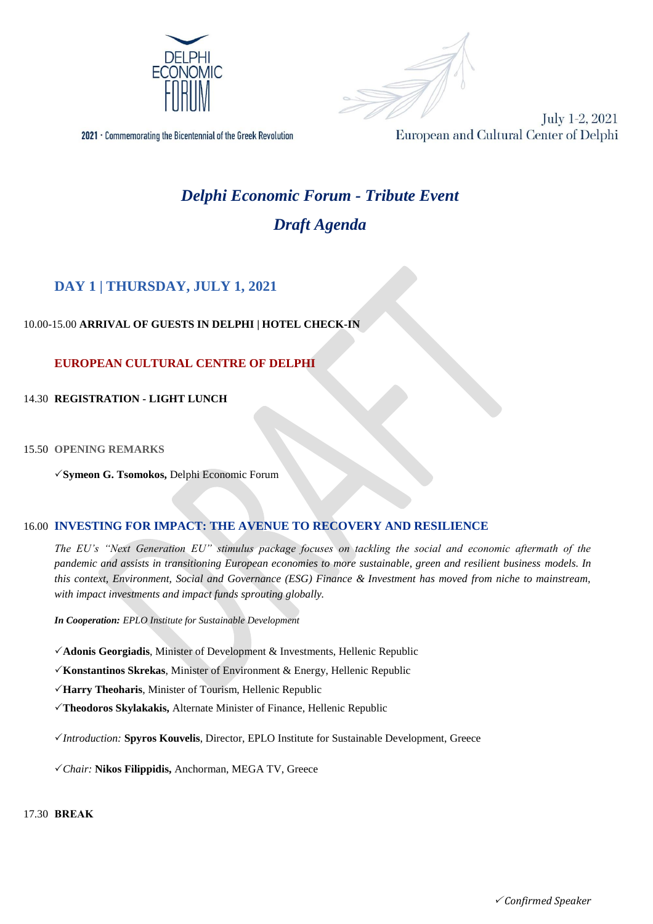



2021 • Commemorating the Bicentennial of the Greek Revolution

# *Delphi Economic Forum - Tribute Event Draft Agenda*

# **DAY 1 | THURSDAY, JULY 1, 2021**

# 10.00-15.00 **ARRIVAL OF GUESTS IN DELPHI | HOTEL CHECK-IN**

# **EUROPEAN CULTURAL CENTRE OF DELPHI**

## 14.30 **REGISTRATION - LIGHT LUNCH**

15.50 **OPENING REMARKS**

**Symeon G. Tsomokos,** Delphi Economic Forum

# 16.00 **INVESTING FOR IMPACT: THE AVENUE TO RECOVERY AND RESILIENCE**

*The EU's "Next Generation EU" stimulus package focuses on tackling the social and economic aftermath of the pandemic and assists in transitioning European economies to more sustainable, green and resilient business models. In this context, Environment, Social and Governance (ESG) Finance & Investment has moved from niche to mainstream, with impact investments and impact funds sprouting globally.*

*In Cooperation: EPLO Institute for Sustainable Development*

**Adonis Georgiadis**, Minister of Development & Investments, Hellenic Republic

**Konstantinos Skrekas**, Minister of Environment & Energy, Hellenic Republic

**Harry Theoharis**, Minister of Tourism, Hellenic Republic

**Theodoros Skylakakis,** Alternate Minister of Finance, Hellenic Republic

*Introduction:* **Spyros Kouvelis**, Director, EPLO Institute for Sustainable Development, Greece

*Chair:* **Nikos Filippidis,** Anchorman, MEGA TV, Greece

#### 17.30 **ΒREAK**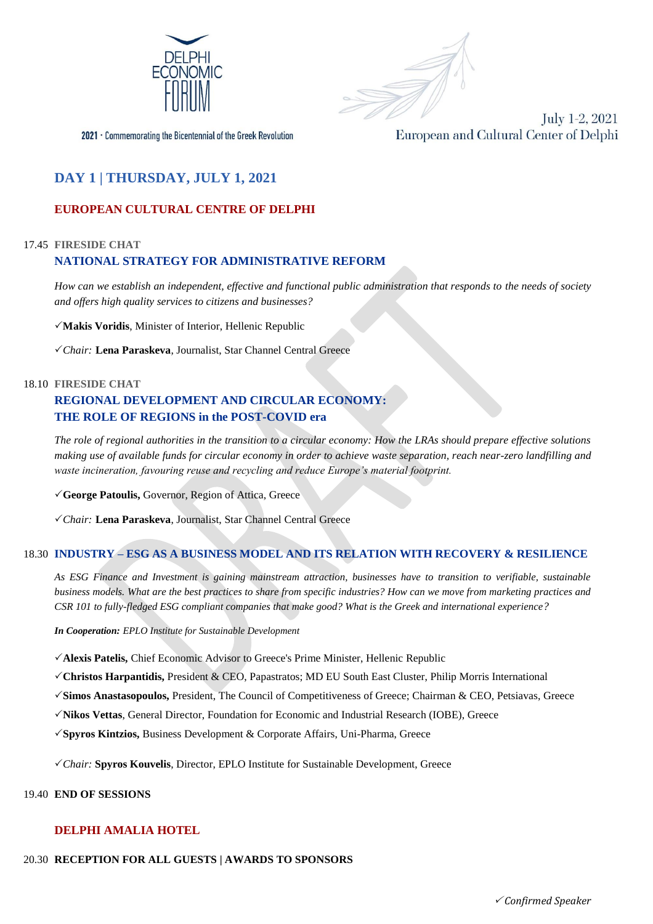



2021 • Commemorating the Bicentennial of the Greek Revolution

# **DAY 1 | THURSDAY, JULY 1, 2021**

## **EUROPEAN CULTURAL CENTRE OF DELPHI**

## 17.45 **FIRESIDE CHAT NATIONAL STRATEGY FOR ADMINISTRATIVE REFORM**

*How can we establish an independent, effective and functional public administration that responds to the needs of society and offers high quality services to citizens and businesses?*

**Makis Voridis**, Minister of Interior, Hellenic Republic

*Chair:* **Lena Paraskeva**, Journalist, Star Channel Central Greece

#### 18.10 **FIRESIDE CHAT**

# **REGIONAL DEVELOPMENT AND CIRCULAR ECONOMY: THE ROLE OF REGIONS in the POST-COVID era**

*The role of regional authorities in the transition to a circular economy: How the LRAs should prepare effective solutions making use of available funds for circular economy in order to achieve waste separation, reach near-zero landfilling and waste incineration, favouring reuse and recycling and reduce Europe's material footprint.* 

**George Patoulis,** Governor, Region of Attica, Greece

*Chair:* **Lena Paraskeva**, Journalist, Star Channel Central Greece

## 18.30 **INDUSTRY – ESG AS A BUSINESS MODEL AND ITS RELATION WITH RECOVERY & RESILIENCE**

*As ESG Finance and Investment is gaining mainstream attraction, businesses have to transition to verifiable, sustainable business models. What are the best practices to share from specific industries? How can we move from marketing practices and CSR 101 to fully-fledged ESG compliant companies that make good? What is the Greek and international experience?*

*In Cooperation: EPLO Institute for Sustainable Development*

**Alexis Patelis,** Chief Economic Advisor to Greece's Prime Minister, Hellenic Republic

**Christos Harpantidis,** President & CEO, Papastratos; MD EU South East Cluster, Philip Morris International

**Simos Anastasopoulos,** President, The Council of Competitiveness of Greece; Chairman & CEO, Petsiavas, Greece

**Nikos Vettas**, General Director, Foundation for Economic and Industrial Research (IOBE), Greece

**Spyros Kintzios,** Business Development & Corporate Affairs, Uni-Pharma, Greece

*Chair:* **Spyros Kouvelis**, Director, EPLO Institute for Sustainable Development, Greece

19.40 **END OF SESSIONS**

#### **DELPHI AMALIA HOTEL**

#### 20.30 **RECEPTION FOR ALL GUESTS | AWARDS TO SPONSORS**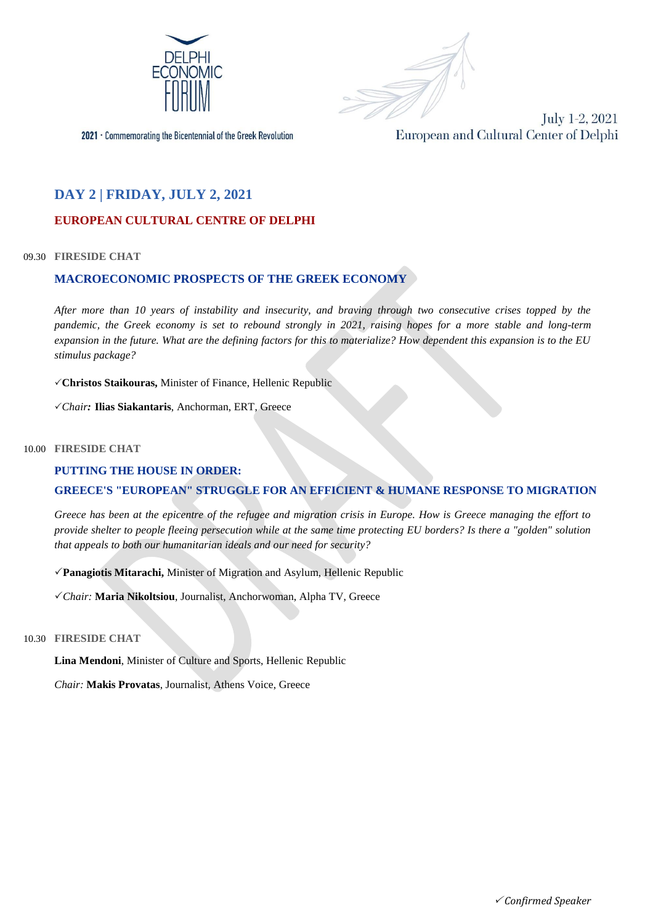



2021 • Commemorating the Bicentennial of the Greek Revolution

# **DAY 2 | FRIDAY, JULY 2, 2021**

# **EUROPEAN CULTURAL CENTRE OF DELPHI**

#### 09.30 **FIRESIDE CHAT**

# **MACROECONOMIC PROSPECTS OF THE GREEK ECONOMY**

*After more than 10 years of instability and insecurity, and braving through two consecutive crises topped by the pandemic, the Greek economy is set to rebound strongly in 2021, raising hopes for a more stable and long-term expansion in the future. What are the defining factors for this to materialize? How dependent this expansion is to the EU stimulus package?* 

**Christos Staikouras,** Minister of Finance, Hellenic Republic

*Chair:* **Ilias Siakantaris**, Anchorman, ERT, Greece

#### 10.00 **FIRESIDE CHAT**

#### **PUTTING THE HOUSE IN ORDER:**

## **GREECE'S "EUROPEAN" STRUGGLE FOR AN EFFICIENT & HUMANE RESPONSE TO MIGRATION**

*Greece has been at the epicentre of the refugee and migration crisis in Europe. How is Greece managing the effort to provide shelter to people fleeing persecution while at the same time protecting EU borders? Is there a "golden" solution that appeals to both our humanitarian ideals and our need for security?*

**Panagiotis Mitarachi,** Minister of Migration and Asylum, Hellenic Republic

*Chair:* **Maria Nikoltsiou**, Journalist, Anchorwoman, Alpha TV, Greece

#### 10.30 **FIRESIDE CHAT**

**Lina Mendoni**, Minister of Culture and Sports, Hellenic Republic

*Chair:* **Makis Provatas**, Journalist, Athens Voice, Greece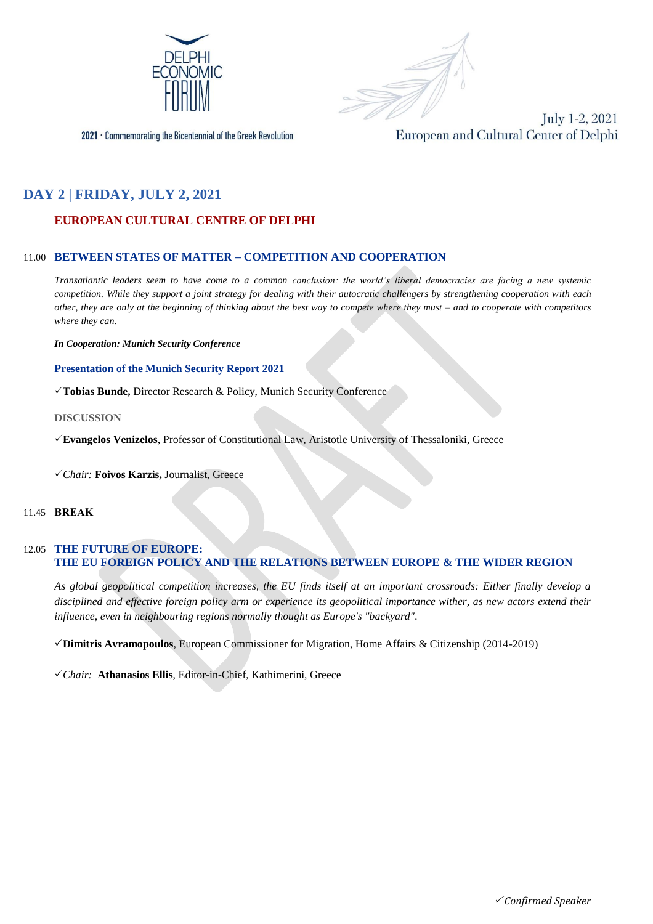



2021 • Commemorating the Bicentennial of the Greek Revolution

# **DAY 2 | FRIDAY, JULY 2, 2021**

# **EUROPEAN CULTURAL CENTRE OF DELPHI**

## 11.00 **BETWEEN STATES OF MATTER – COMPETITION AND COOPERATION**

*Transatlantic leaders seem to have come to a common conclusion: the world's liberal democracies are facing a new systemic competition. While they support a joint strategy for dealing with their autocratic challengers by strengthening cooperation with each other, they are only at the beginning of thinking about the best way to compete where they must – and to cooperate with competitors where they can.*

*In Cooperation: Munich Security Conference*

**Presentation of the Munich Security Report 2021**

**Tobias Bunde,** Director Research & Policy, Munich Security Conference

#### **DISCUSSION**

**Evangelos Venizelos**, Professor of Constitutional Law, Aristotle University of Thessaloniki, Greece

*Chair:* **Foivos Karzis,** Journalist, Greece

## 11.45 **ΒREAK**

#### 12.05 **THE FUTURE OF EUROPE: THE EU FOREIGN POLICY AND THE RELATIONS BETWEEN EUROPE & THE WIDER REGION**

*As global geopolitical competition increases, the EU finds itself at an important crossroads: Either finally develop a disciplined and effective foreign policy arm or experience its geopolitical importance wither, as new actors extend their influence, even in neighbouring regions normally thought as Europe's "backyard".* 

**Dimitris Avramopoulos**, European Commissioner for Migration, Home Affairs & Citizenship (2014-2019)

*Chair:* **Athanasios Ellis**, Editor-in-Chief, Kathimerini, Greece